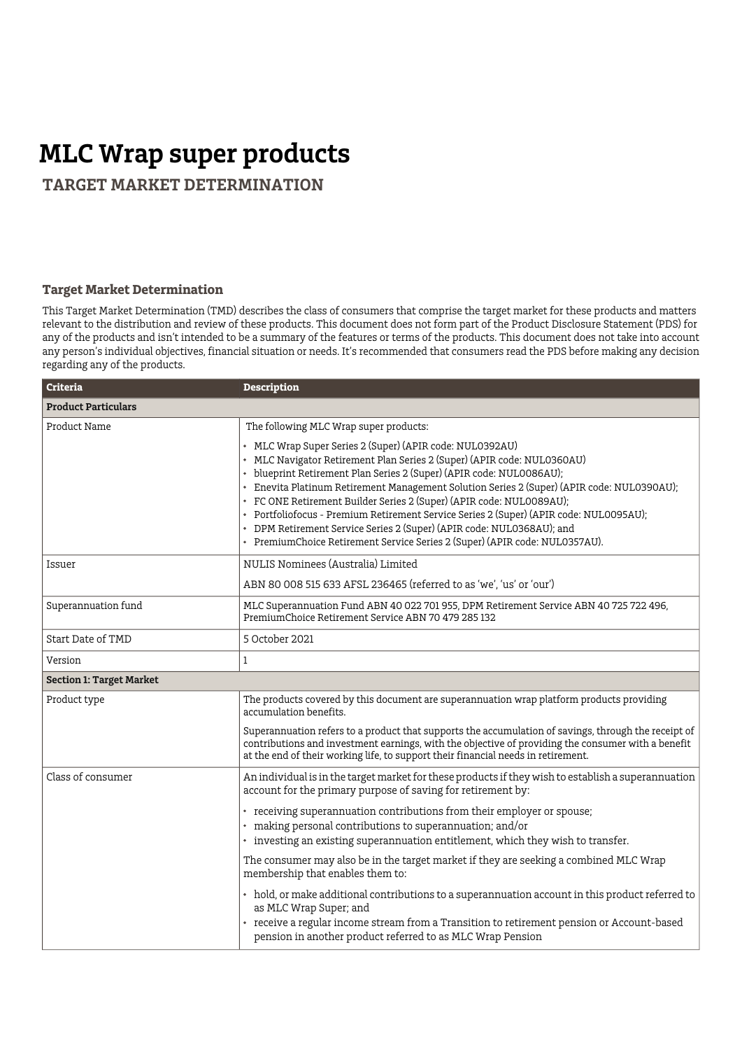## **MLC Wrap super products**

 **TARGET MARKET DETERMINATION**

## **Target Market Determination**

This Target Market Determination (TMD) describes the class of consumers that comprise the target market for these products and matters relevant to the distribution and review of these products. This document does not form part of the Product Disclosure Statement (PDS) for any of the products and isn't intended to be a summary of the features or terms of the products. This document does not take into account any person's individual objectives, financial situation or needs. It's recommended that consumers read the PDS before making any decision regarding any of the products.

| <b>Criteria</b>                 | <b>Description</b>                                                                                                                                                                                                                                                                                                                                                                                                                                                                                                                                                                                                                  |  |
|---------------------------------|-------------------------------------------------------------------------------------------------------------------------------------------------------------------------------------------------------------------------------------------------------------------------------------------------------------------------------------------------------------------------------------------------------------------------------------------------------------------------------------------------------------------------------------------------------------------------------------------------------------------------------------|--|
| <b>Product Particulars</b>      |                                                                                                                                                                                                                                                                                                                                                                                                                                                                                                                                                                                                                                     |  |
| Product Name                    | The following MLC Wrap super products:                                                                                                                                                                                                                                                                                                                                                                                                                                                                                                                                                                                              |  |
|                                 | • MLC Wrap Super Series 2 (Super) (APIR code: NUL0392AU)<br>• MLC Navigator Retirement Plan Series 2 (Super) (APIR code: NUL0360AU)<br>• blueprint Retirement Plan Series 2 (Super) (APIR code: NUL0086AU);<br>• Enevita Platinum Retirement Management Solution Series 2 (Super) (APIR code: NULO390AU);<br>• FC ONE Retirement Builder Series 2 (Super) (APIR code: NUL0089AU);<br>• Portfoliofocus - Premium Retirement Service Series 2 (Super) (APIR code: NUL0095AU);<br>• DPM Retirement Service Series 2 (Super) (APIR code: NUL0368AU); and<br>• PremiumChoice Retirement Service Series 2 (Super) (APIR code: NUL0357AU). |  |
| Issuer                          | NULIS Nominees (Australia) Limited                                                                                                                                                                                                                                                                                                                                                                                                                                                                                                                                                                                                  |  |
|                                 | ABN 80 008 515 633 AFSL 236465 (referred to as 'we', 'us' or 'our')                                                                                                                                                                                                                                                                                                                                                                                                                                                                                                                                                                 |  |
| Superannuation fund             | MLC Superannuation Fund ABN 40 022 701 955, DPM Retirement Service ABN 40 725 722 496,<br>PremiumChoice Retirement Service ABN 70 479 285 132                                                                                                                                                                                                                                                                                                                                                                                                                                                                                       |  |
| Start Date of TMD               | 5 October 2021                                                                                                                                                                                                                                                                                                                                                                                                                                                                                                                                                                                                                      |  |
| Version                         | 1                                                                                                                                                                                                                                                                                                                                                                                                                                                                                                                                                                                                                                   |  |
| <b>Section 1: Target Market</b> |                                                                                                                                                                                                                                                                                                                                                                                                                                                                                                                                                                                                                                     |  |
| Product type                    | The products covered by this document are superannuation wrap platform products providing<br>accumulation benefits.                                                                                                                                                                                                                                                                                                                                                                                                                                                                                                                 |  |
|                                 | Superannuation refers to a product that supports the accumulation of savings, through the receipt of<br>contributions and investment earnings, with the objective of providing the consumer with a benefit<br>at the end of their working life, to support their financial needs in retirement.                                                                                                                                                                                                                                                                                                                                     |  |
| Class of consumer               | An individual is in the target market for these products if they wish to establish a superannuation<br>account for the primary purpose of saving for retirement by:                                                                                                                                                                                                                                                                                                                                                                                                                                                                 |  |
|                                 | • receiving superannuation contributions from their employer or spouse;<br>• making personal contributions to superannuation; and/or<br>• investing an existing superannuation entitlement, which they wish to transfer.                                                                                                                                                                                                                                                                                                                                                                                                            |  |
|                                 | The consumer may also be in the target market if they are seeking a combined MLC Wrap<br>membership that enables them to:                                                                                                                                                                                                                                                                                                                                                                                                                                                                                                           |  |
|                                 | • hold, or make additional contributions to a superannuation account in this product referred to<br>as MLC Wrap Super; and<br>• receive a regular income stream from a Transition to retirement pension or Account-based<br>pension in another product referred to as MLC Wrap Pension                                                                                                                                                                                                                                                                                                                                              |  |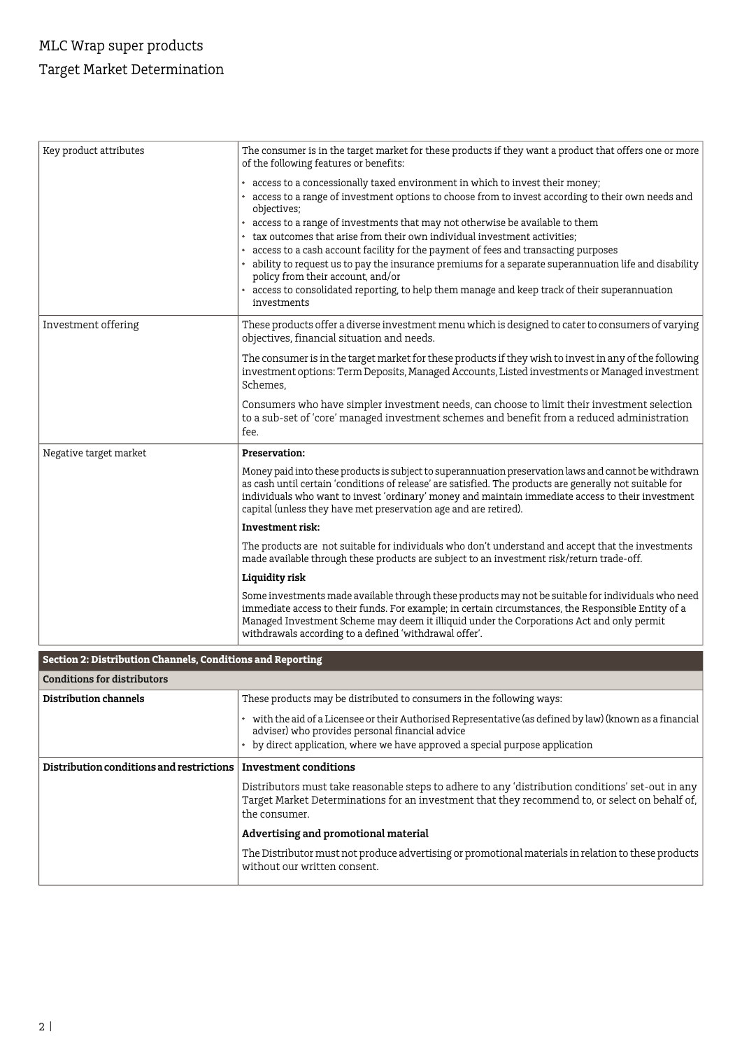## MLC Wrap super products Target Market Determination

| Key product attributes | The consumer is in the target market for these products if they want a product that offers one or more<br>of the following features or benefits:                                                                                                                                                                                                                                           |
|------------------------|--------------------------------------------------------------------------------------------------------------------------------------------------------------------------------------------------------------------------------------------------------------------------------------------------------------------------------------------------------------------------------------------|
|                        | • access to a concessionally taxed environment in which to invest their money;<br>• access to a range of investment options to choose from to invest according to their own needs and<br>objectives;                                                                                                                                                                                       |
|                        | • access to a range of investments that may not otherwise be available to them                                                                                                                                                                                                                                                                                                             |
|                        | • tax outcomes that arise from their own individual investment activities:                                                                                                                                                                                                                                                                                                                 |
|                        | • access to a cash account facility for the payment of fees and transacting purposes<br>• ability to request us to pay the insurance premiums for a separate superannuation life and disability<br>policy from their account, and/or                                                                                                                                                       |
|                        | • access to consolidated reporting, to help them manage and keep track of their superannuation<br>investments                                                                                                                                                                                                                                                                              |
| Investment offering    | These products offer a diverse investment menu which is designed to cater to consumers of varying<br>objectives, financial situation and needs.                                                                                                                                                                                                                                            |
|                        | The consumer is in the target market for these products if they wish to invest in any of the following<br>investment options: Term Deposits, Managed Accounts, Listed investments or Managed investment<br>Schemes.                                                                                                                                                                        |
|                        | Consumers who have simpler investment needs, can choose to limit their investment selection<br>to a sub-set of 'core' managed investment schemes and benefit from a reduced administration<br>fee.                                                                                                                                                                                         |
| Negative target market | <b>Preservation:</b>                                                                                                                                                                                                                                                                                                                                                                       |
|                        | Money paid into these products is subject to superannuation preservation laws and cannot be withdrawn<br>as cash until certain 'conditions of release' are satisfied. The products are generally not suitable for<br>individuals who want to invest 'ordinary' money and maintain immediate access to their investment<br>capital (unless they have met preservation age and are retired). |
|                        | <b>Investment risk:</b>                                                                                                                                                                                                                                                                                                                                                                    |
|                        | The products are not suitable for individuals who don't understand and accept that the investments<br>made available through these products are subject to an investment risk/return trade-off.                                                                                                                                                                                            |
|                        | Liquidity risk                                                                                                                                                                                                                                                                                                                                                                             |
|                        | Some investments made available through these products may not be suitable for individuals who need<br>immediate access to their funds. For example; in certain circumstances, the Responsible Entity of a<br>Managed Investment Scheme may deem it illiquid under the Corporations Act and only permit<br>withdrawals according to a defined 'withdrawal offer'.                          |

| Section 2: Distribution Channels, Conditions and Reporting |                                                                                                                                                                                                                      |  |  |  |
|------------------------------------------------------------|----------------------------------------------------------------------------------------------------------------------------------------------------------------------------------------------------------------------|--|--|--|
| Conditions for distributors                                |                                                                                                                                                                                                                      |  |  |  |
| Distribution channels                                      | These products may be distributed to consumers in the following ways:                                                                                                                                                |  |  |  |
|                                                            | • with the aid of a Licensee or their Authorised Representative (as defined by law) (known as a financial<br>adviser) who provides personal financial advice                                                         |  |  |  |
|                                                            | • by direct application, where we have approved a special purpose application                                                                                                                                        |  |  |  |
| Distribution conditions and restrictions                   | <b>Investment conditions</b>                                                                                                                                                                                         |  |  |  |
|                                                            | Distributors must take reasonable steps to adhere to any 'distribution conditions' set-out in any<br>Target Market Determinations for an investment that they recommend to, or select on behalf of,<br>the consumer. |  |  |  |
|                                                            | Advertising and promotional material                                                                                                                                                                                 |  |  |  |
|                                                            | The Distributor must not produce advertising or promotional materials in relation to these products<br>without our written consent.                                                                                  |  |  |  |
|                                                            |                                                                                                                                                                                                                      |  |  |  |